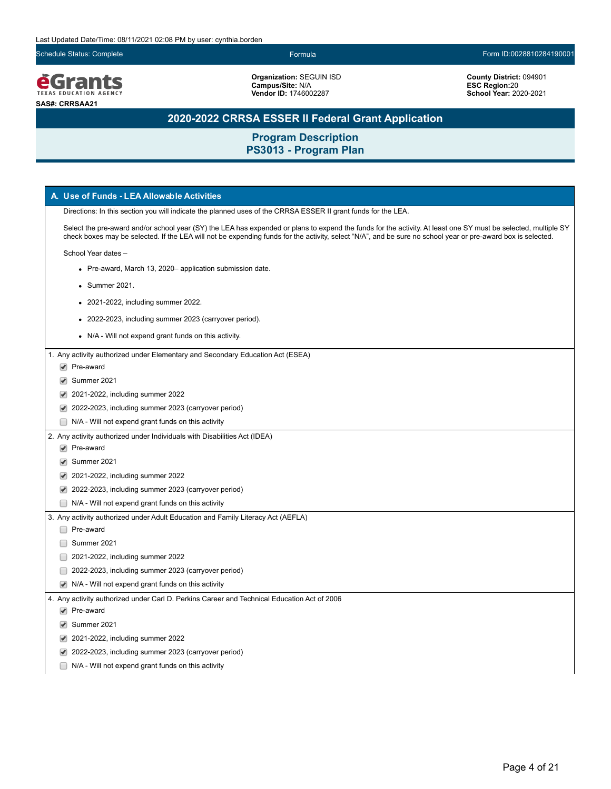Schedule Status: Complete Formula Form ID:0028810284190001



**Organization:** SEGUIN ISD **Campus/Site:** N/A **Vendor ID:** 1746002287

**County District:** 094901 **ESC Region:**20 **School Year:** 2020-2021

## **2020-2022 CRRSA ESSER II Federal Grant Application**

| A. Use of Funds - LEA Allowable Activities                                                                                                                                                                                                                                                                                     |
|--------------------------------------------------------------------------------------------------------------------------------------------------------------------------------------------------------------------------------------------------------------------------------------------------------------------------------|
| Directions: In this section you will indicate the planned uses of the CRRSA ESSER II grant funds for the LEA.                                                                                                                                                                                                                  |
| Select the pre-award and/or school year (SY) the LEA has expended or plans to expend the funds for the activity. At least one SY must be selected, multiple SY<br>check boxes may be selected. If the LEA will not be expending funds for the activity, select "N/A", and be sure no school year or pre-award box is selected. |
| School Year dates -                                                                                                                                                                                                                                                                                                            |
| • Pre-award, March 13, 2020- application submission date.                                                                                                                                                                                                                                                                      |
| • Summer 2021.                                                                                                                                                                                                                                                                                                                 |
| 2021-2022, including summer 2022.                                                                                                                                                                                                                                                                                              |
|                                                                                                                                                                                                                                                                                                                                |
| • 2022-2023, including summer 2023 (carryover period).                                                                                                                                                                                                                                                                         |
| • N/A - Will not expend grant funds on this activity.                                                                                                                                                                                                                                                                          |
| 1. Any activity authorized under Elementary and Secondary Education Act (ESEA)                                                                                                                                                                                                                                                 |
| $\blacktriangleright$ Pre-award                                                                                                                                                                                                                                                                                                |
| Summer 2021                                                                                                                                                                                                                                                                                                                    |
| 2021-2022, including summer 2022                                                                                                                                                                                                                                                                                               |
| 2022-2023, including summer 2023 (carryover period)                                                                                                                                                                                                                                                                            |
| $\Box$ N/A - Will not expend grant funds on this activity                                                                                                                                                                                                                                                                      |
| 2. Any activity authorized under Individuals with Disabilities Act (IDEA)                                                                                                                                                                                                                                                      |
| $\blacktriangleright$ Pre-award                                                                                                                                                                                                                                                                                                |
| Summer 2021                                                                                                                                                                                                                                                                                                                    |
| $\blacktriangleright$ 2021-2022, including summer 2022                                                                                                                                                                                                                                                                         |
| ◆ 2022-2023, including summer 2023 (carryover period)                                                                                                                                                                                                                                                                          |
| $\Box$ N/A - Will not expend grant funds on this activity                                                                                                                                                                                                                                                                      |
| 3. Any activity authorized under Adult Education and Family Literacy Act (AEFLA)                                                                                                                                                                                                                                               |
| □ Pre-award                                                                                                                                                                                                                                                                                                                    |
| Summer 2021                                                                                                                                                                                                                                                                                                                    |
| 2021-2022, including summer 2022                                                                                                                                                                                                                                                                                               |
| 2022-2023, including summer 2023 (carryover period)                                                                                                                                                                                                                                                                            |
| $\blacktriangleright$ N/A - Will not expend grant funds on this activity                                                                                                                                                                                                                                                       |
| 4. Any activity authorized under Carl D. Perkins Career and Technical Education Act of 2006                                                                                                                                                                                                                                    |
| $\blacktriangleright$ Pre-award                                                                                                                                                                                                                                                                                                |
| Summer 2021                                                                                                                                                                                                                                                                                                                    |
| 2021-2022, including summer 2022                                                                                                                                                                                                                                                                                               |
| 2022-2023, including summer 2023 (carryover period)                                                                                                                                                                                                                                                                            |
| N/A - Will not expend grant funds on this activity                                                                                                                                                                                                                                                                             |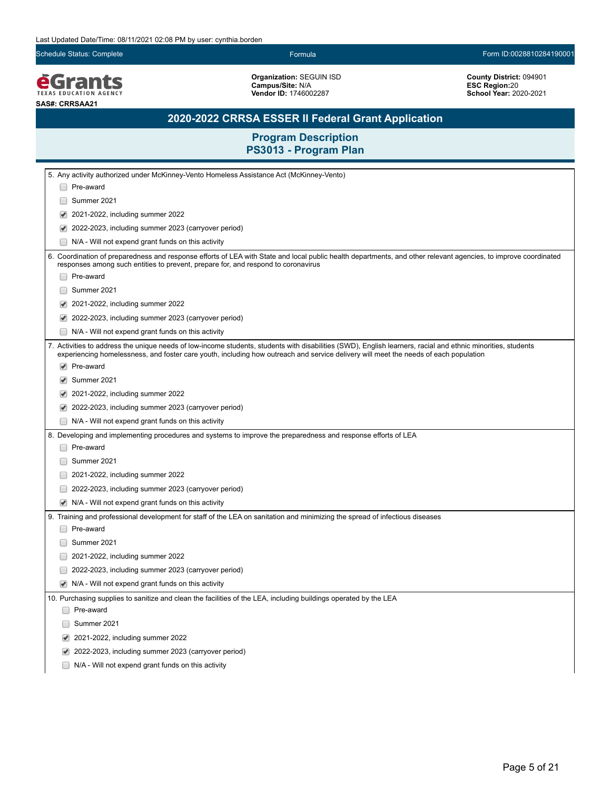Schedule Status: Complete Formula Form ID:0028810284190001

*<u>EGrants</u>* **SAS#: CRRSAA21**

**Organization:** SEGUIN ISD **Campus/Site:** N/A **Vendor ID:** 1746002287

**County District:** 094901 **ESC Region:**20 **School Year:** 2020-2021

# **2020-2022 CRRSA ESSER II Federal Grant Application**

| Pre-award<br>Summer 2021<br>2021-2022, including summer 2022<br>2022-2023, including summer 2023 (carryover period)<br>$\blacktriangledown$<br>N/A - Will not expend grant funds on this activity<br>6. Coordination of preparedness and response efforts of LEA with State and local public health departments, and other relevant agencies, to improve coordinated<br>responses among such entities to prevent, prepare for, and respond to coronavirus<br>Pre-award<br>Summer 2021<br>2021-2022, including summer 2022<br>2022-2023, including summer 2023 (carryover period)<br>N/A - Will not expend grant funds on this activity<br>7. Activities to address the unique needs of low-income students, students with disabilities (SWD), English learners, racial and ethnic minorities, students<br>experiencing homelessness, and foster care youth, including how outreach and service delivery will meet the needs of each population<br>$\blacktriangleright$ Pre-award<br>Summer 2021<br>2021-2022, including summer 2022<br>2022-2023, including summer 2023 (carryover period)<br>N/A - Will not expend grant funds on this activity<br>8. Developing and implementing procedures and systems to improve the preparedness and response efforts of LEA<br>Pre-award<br>Summer 2021<br>2021-2022, including summer 2022<br>2022-2023, including summer 2023 (carryover period)<br>N/A - Will not expend grant funds on this activity<br>$\blacktriangledown$ |
|-------------------------------------------------------------------------------------------------------------------------------------------------------------------------------------------------------------------------------------------------------------------------------------------------------------------------------------------------------------------------------------------------------------------------------------------------------------------------------------------------------------------------------------------------------------------------------------------------------------------------------------------------------------------------------------------------------------------------------------------------------------------------------------------------------------------------------------------------------------------------------------------------------------------------------------------------------------------------------------------------------------------------------------------------------------------------------------------------------------------------------------------------------------------------------------------------------------------------------------------------------------------------------------------------------------------------------------------------------------------------------------------------------------------------------------------------------------------------|
|                                                                                                                                                                                                                                                                                                                                                                                                                                                                                                                                                                                                                                                                                                                                                                                                                                                                                                                                                                                                                                                                                                                                                                                                                                                                                                                                                                                                                                                                         |
|                                                                                                                                                                                                                                                                                                                                                                                                                                                                                                                                                                                                                                                                                                                                                                                                                                                                                                                                                                                                                                                                                                                                                                                                                                                                                                                                                                                                                                                                         |
|                                                                                                                                                                                                                                                                                                                                                                                                                                                                                                                                                                                                                                                                                                                                                                                                                                                                                                                                                                                                                                                                                                                                                                                                                                                                                                                                                                                                                                                                         |
|                                                                                                                                                                                                                                                                                                                                                                                                                                                                                                                                                                                                                                                                                                                                                                                                                                                                                                                                                                                                                                                                                                                                                                                                                                                                                                                                                                                                                                                                         |
|                                                                                                                                                                                                                                                                                                                                                                                                                                                                                                                                                                                                                                                                                                                                                                                                                                                                                                                                                                                                                                                                                                                                                                                                                                                                                                                                                                                                                                                                         |
|                                                                                                                                                                                                                                                                                                                                                                                                                                                                                                                                                                                                                                                                                                                                                                                                                                                                                                                                                                                                                                                                                                                                                                                                                                                                                                                                                                                                                                                                         |
|                                                                                                                                                                                                                                                                                                                                                                                                                                                                                                                                                                                                                                                                                                                                                                                                                                                                                                                                                                                                                                                                                                                                                                                                                                                                                                                                                                                                                                                                         |
|                                                                                                                                                                                                                                                                                                                                                                                                                                                                                                                                                                                                                                                                                                                                                                                                                                                                                                                                                                                                                                                                                                                                                                                                                                                                                                                                                                                                                                                                         |
|                                                                                                                                                                                                                                                                                                                                                                                                                                                                                                                                                                                                                                                                                                                                                                                                                                                                                                                                                                                                                                                                                                                                                                                                                                                                                                                                                                                                                                                                         |
|                                                                                                                                                                                                                                                                                                                                                                                                                                                                                                                                                                                                                                                                                                                                                                                                                                                                                                                                                                                                                                                                                                                                                                                                                                                                                                                                                                                                                                                                         |
|                                                                                                                                                                                                                                                                                                                                                                                                                                                                                                                                                                                                                                                                                                                                                                                                                                                                                                                                                                                                                                                                                                                                                                                                                                                                                                                                                                                                                                                                         |
|                                                                                                                                                                                                                                                                                                                                                                                                                                                                                                                                                                                                                                                                                                                                                                                                                                                                                                                                                                                                                                                                                                                                                                                                                                                                                                                                                                                                                                                                         |
|                                                                                                                                                                                                                                                                                                                                                                                                                                                                                                                                                                                                                                                                                                                                                                                                                                                                                                                                                                                                                                                                                                                                                                                                                                                                                                                                                                                                                                                                         |
|                                                                                                                                                                                                                                                                                                                                                                                                                                                                                                                                                                                                                                                                                                                                                                                                                                                                                                                                                                                                                                                                                                                                                                                                                                                                                                                                                                                                                                                                         |
|                                                                                                                                                                                                                                                                                                                                                                                                                                                                                                                                                                                                                                                                                                                                                                                                                                                                                                                                                                                                                                                                                                                                                                                                                                                                                                                                                                                                                                                                         |
|                                                                                                                                                                                                                                                                                                                                                                                                                                                                                                                                                                                                                                                                                                                                                                                                                                                                                                                                                                                                                                                                                                                                                                                                                                                                                                                                                                                                                                                                         |
|                                                                                                                                                                                                                                                                                                                                                                                                                                                                                                                                                                                                                                                                                                                                                                                                                                                                                                                                                                                                                                                                                                                                                                                                                                                                                                                                                                                                                                                                         |
|                                                                                                                                                                                                                                                                                                                                                                                                                                                                                                                                                                                                                                                                                                                                                                                                                                                                                                                                                                                                                                                                                                                                                                                                                                                                                                                                                                                                                                                                         |
|                                                                                                                                                                                                                                                                                                                                                                                                                                                                                                                                                                                                                                                                                                                                                                                                                                                                                                                                                                                                                                                                                                                                                                                                                                                                                                                                                                                                                                                                         |
|                                                                                                                                                                                                                                                                                                                                                                                                                                                                                                                                                                                                                                                                                                                                                                                                                                                                                                                                                                                                                                                                                                                                                                                                                                                                                                                                                                                                                                                                         |
|                                                                                                                                                                                                                                                                                                                                                                                                                                                                                                                                                                                                                                                                                                                                                                                                                                                                                                                                                                                                                                                                                                                                                                                                                                                                                                                                                                                                                                                                         |
|                                                                                                                                                                                                                                                                                                                                                                                                                                                                                                                                                                                                                                                                                                                                                                                                                                                                                                                                                                                                                                                                                                                                                                                                                                                                                                                                                                                                                                                                         |
|                                                                                                                                                                                                                                                                                                                                                                                                                                                                                                                                                                                                                                                                                                                                                                                                                                                                                                                                                                                                                                                                                                                                                                                                                                                                                                                                                                                                                                                                         |
| 9. Training and professional development for staff of the LEA on sanitation and minimizing the spread of infectious diseases                                                                                                                                                                                                                                                                                                                                                                                                                                                                                                                                                                                                                                                                                                                                                                                                                                                                                                                                                                                                                                                                                                                                                                                                                                                                                                                                            |
| Pre-award                                                                                                                                                                                                                                                                                                                                                                                                                                                                                                                                                                                                                                                                                                                                                                                                                                                                                                                                                                                                                                                                                                                                                                                                                                                                                                                                                                                                                                                               |
| Summer 2021                                                                                                                                                                                                                                                                                                                                                                                                                                                                                                                                                                                                                                                                                                                                                                                                                                                                                                                                                                                                                                                                                                                                                                                                                                                                                                                                                                                                                                                             |
| 2021-2022, including summer 2022                                                                                                                                                                                                                                                                                                                                                                                                                                                                                                                                                                                                                                                                                                                                                                                                                                                                                                                                                                                                                                                                                                                                                                                                                                                                                                                                                                                                                                        |
| 2022-2023, including summer 2023 (carryover period)                                                                                                                                                                                                                                                                                                                                                                                                                                                                                                                                                                                                                                                                                                                                                                                                                                                                                                                                                                                                                                                                                                                                                                                                                                                                                                                                                                                                                     |
| N/A - Will not expend grant funds on this activity                                                                                                                                                                                                                                                                                                                                                                                                                                                                                                                                                                                                                                                                                                                                                                                                                                                                                                                                                                                                                                                                                                                                                                                                                                                                                                                                                                                                                      |
| 10. Purchasing supplies to sanitize and clean the facilities of the LEA, including buildings operated by the LEA                                                                                                                                                                                                                                                                                                                                                                                                                                                                                                                                                                                                                                                                                                                                                                                                                                                                                                                                                                                                                                                                                                                                                                                                                                                                                                                                                        |
| Pre-award                                                                                                                                                                                                                                                                                                                                                                                                                                                                                                                                                                                                                                                                                                                                                                                                                                                                                                                                                                                                                                                                                                                                                                                                                                                                                                                                                                                                                                                               |
| Summer 2021                                                                                                                                                                                                                                                                                                                                                                                                                                                                                                                                                                                                                                                                                                                                                                                                                                                                                                                                                                                                                                                                                                                                                                                                                                                                                                                                                                                                                                                             |
| 2021-2022, including summer 2022<br>$\blacktriangledown$                                                                                                                                                                                                                                                                                                                                                                                                                                                                                                                                                                                                                                                                                                                                                                                                                                                                                                                                                                                                                                                                                                                                                                                                                                                                                                                                                                                                                |
| 2022-2023, including summer 2023 (carryover period)                                                                                                                                                                                                                                                                                                                                                                                                                                                                                                                                                                                                                                                                                                                                                                                                                                                                                                                                                                                                                                                                                                                                                                                                                                                                                                                                                                                                                     |
| N/A - Will not expend grant funds on this activity                                                                                                                                                                                                                                                                                                                                                                                                                                                                                                                                                                                                                                                                                                                                                                                                                                                                                                                                                                                                                                                                                                                                                                                                                                                                                                                                                                                                                      |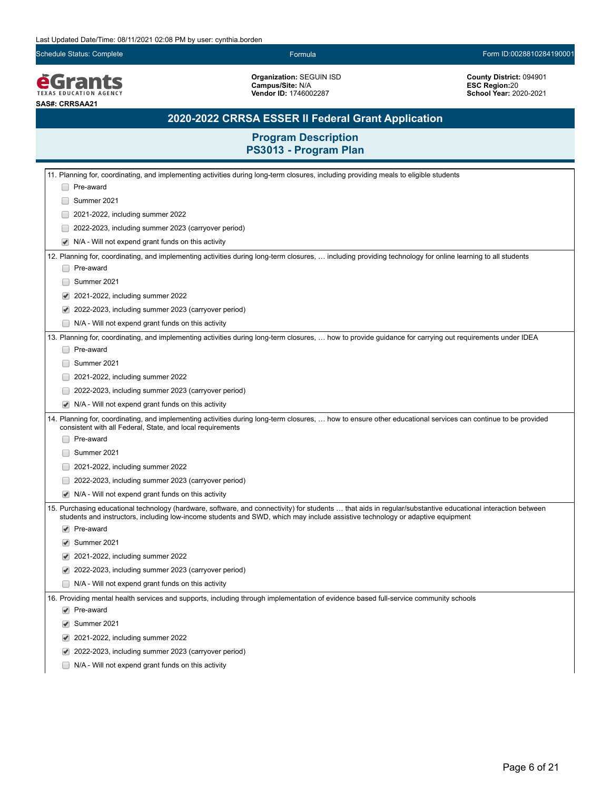*<u>EGrants</u>* 

**SAS#: CRRSAA21**

Schedule Status: Complete Formula Form ID:0028810284190001

**Organization:** SEGUIN ISD **Campus/Site:** N/A **Vendor ID:** 1746002287

**County District:** 094901 **ESC Region:**20 **School Year:** 2020-2021

# **2020-2022 CRRSA ESSER II Federal Grant Application**

|                      | 11. Planning for, coordinating, and implementing activities during long-term closures, including providing meals to eligible students                                                                                                                                                        |
|----------------------|----------------------------------------------------------------------------------------------------------------------------------------------------------------------------------------------------------------------------------------------------------------------------------------------|
|                      | Pre-award                                                                                                                                                                                                                                                                                    |
|                      | Summer 2021                                                                                                                                                                                                                                                                                  |
|                      | 2021-2022, including summer 2022                                                                                                                                                                                                                                                             |
|                      | 2022-2023, including summer 2023 (carryover period)                                                                                                                                                                                                                                          |
|                      | N/A - Will not expend grant funds on this activity                                                                                                                                                                                                                                           |
|                      | 12. Planning for, coordinating, and implementing activities during long-term closures,  including providing technology for online learning to all students                                                                                                                                   |
|                      | Pre-award                                                                                                                                                                                                                                                                                    |
|                      | Summer 2021                                                                                                                                                                                                                                                                                  |
|                      | 2021-2022, including summer 2022                                                                                                                                                                                                                                                             |
|                      | 2022-2023, including summer 2023 (carryover period)                                                                                                                                                                                                                                          |
|                      | N/A - Will not expend grant funds on this activity                                                                                                                                                                                                                                           |
|                      | 13. Planning for, coordinating, and implementing activities during long-term closures,  how to provide guidance for carrying out requirements under IDEA<br>Pre-award                                                                                                                        |
|                      | Summer 2021                                                                                                                                                                                                                                                                                  |
|                      | 2021-2022, including summer 2022                                                                                                                                                                                                                                                             |
|                      | 2022-2023, including summer 2023 (carryover period)                                                                                                                                                                                                                                          |
|                      | N/A - Will not expend grant funds on this activity                                                                                                                                                                                                                                           |
|                      | 14. Planning for, coordinating, and implementing activities during long-term closures,  how to ensure other educational services can continue to be provided<br>consistent with all Federal, State, and local requirements                                                                   |
|                      | Pre-award                                                                                                                                                                                                                                                                                    |
|                      | Summer 2021                                                                                                                                                                                                                                                                                  |
|                      | 2021-2022, including summer 2022                                                                                                                                                                                                                                                             |
|                      | 2022-2023, including summer 2023 (carryover period)                                                                                                                                                                                                                                          |
| ✔                    | N/A - Will not expend grant funds on this activity                                                                                                                                                                                                                                           |
|                      | 15. Purchasing educational technology (hardware, software, and connectivity) for students  that aids in regular/substantive educational interaction between<br>students and instructors, including low-income students and SWD, which may include assistive technology or adaptive equipment |
| $\blacktriangledown$ | Pre-award                                                                                                                                                                                                                                                                                    |
| ✔                    | Summer 2021                                                                                                                                                                                                                                                                                  |
| $\blacktriangledown$ | 2021-2022, including summer 2022                                                                                                                                                                                                                                                             |
| $\blacktriangledown$ | 2022-2023, including summer 2023 (carryover period)                                                                                                                                                                                                                                          |
|                      | N/A - Will not expend grant funds on this activity                                                                                                                                                                                                                                           |
|                      | 16. Providing mental health services and supports, including through implementation of evidence based full-service community schools                                                                                                                                                         |
|                      | $\blacktriangleright$ Pre-award                                                                                                                                                                                                                                                              |
|                      | Summer 2021                                                                                                                                                                                                                                                                                  |
|                      | 2021-2022, including summer 2022                                                                                                                                                                                                                                                             |
|                      | 2022-2023, including summer 2023 (carryover period)                                                                                                                                                                                                                                          |
|                      | N/A - Will not expend grant funds on this activity                                                                                                                                                                                                                                           |
|                      |                                                                                                                                                                                                                                                                                              |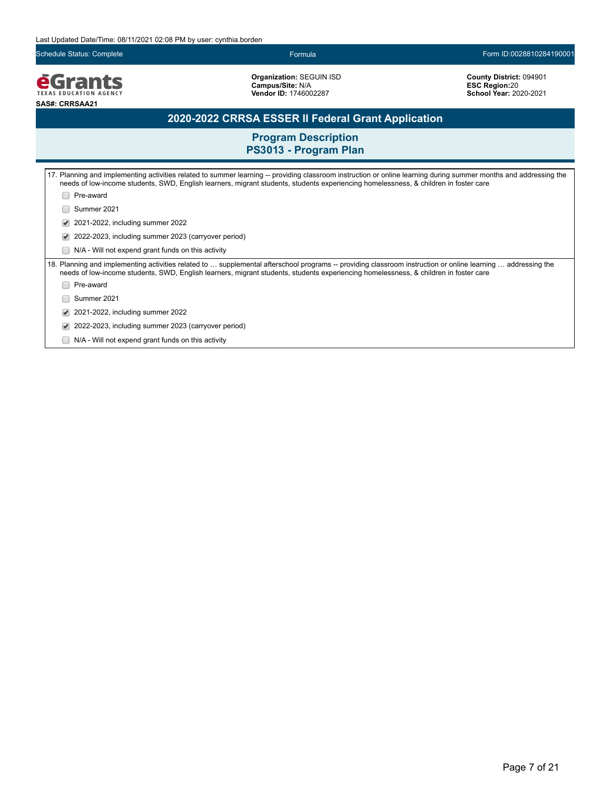Schedule Status: Complete Formula Form ID:0028810284190001

*<u>EGrants</u>* **SAS#: CRRSAA21**

**Organization:** SEGUIN ISD **Campus/Site:** N/A **Vendor ID:** 1746002287

**County District:** 094901 **ESC Region:**20 **School Year:** 2020-2021

## **2020-2022 CRRSA ESSER II Federal Grant Application**

| 17. Planning and implementing activities related to summer learning -- providing classroom instruction or online learning during summer months and addressing the<br>needs of low-income students, SWD, English learners, migrant students, students experiencing homelessness, & children in foster care |  |  |
|-----------------------------------------------------------------------------------------------------------------------------------------------------------------------------------------------------------------------------------------------------------------------------------------------------------|--|--|
| Pre-award                                                                                                                                                                                                                                                                                                 |  |  |
| Summer 2021                                                                                                                                                                                                                                                                                               |  |  |
| 2021-2022, including summer 2022                                                                                                                                                                                                                                                                          |  |  |
| 2022-2023, including summer 2023 (carryover period)                                                                                                                                                                                                                                                       |  |  |
| N/A - Will not expend grant funds on this activity                                                                                                                                                                                                                                                        |  |  |
| 18. Planning and implementing activities related to  supplemental afterschool programs -- providing classroom instruction or online learning  addressing the<br>needs of low-income students, SWD, English learners, migrant students, students experiencing homelessness, & children in foster care      |  |  |
| Pre-award                                                                                                                                                                                                                                                                                                 |  |  |
| Summer 2021                                                                                                                                                                                                                                                                                               |  |  |
| 2021-2022, including summer 2022                                                                                                                                                                                                                                                                          |  |  |
| 2022-2023, including summer 2023 (carryover period)                                                                                                                                                                                                                                                       |  |  |
| N/A - Will not expend grant funds on this activity                                                                                                                                                                                                                                                        |  |  |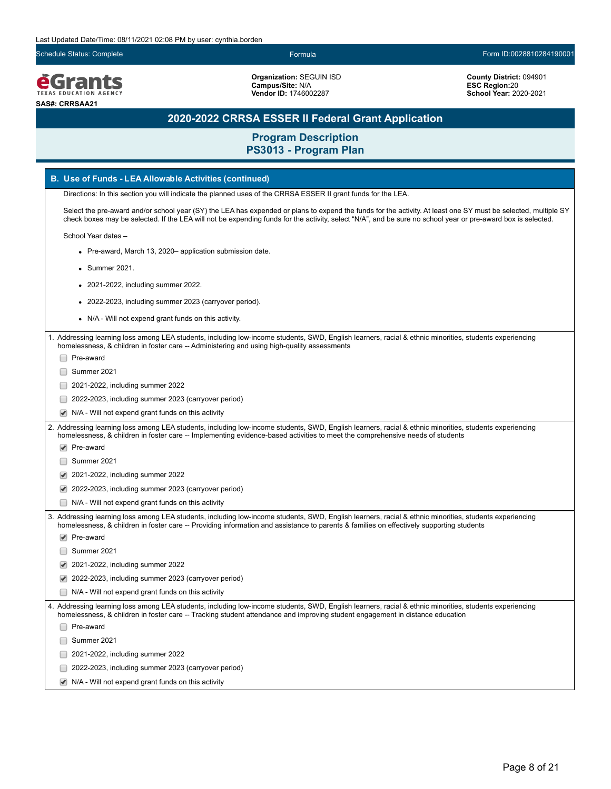Schedule Status: Complete Formula Form ID:0028810284190001

*<u>EGrants</u>* **SAS#: CRRSAA21**

**Organization:** SEGUIN ISD **Campus/Site:** N/A **Vendor ID:** 1746002287

**County District:** 094901 **ESC Region:**20 **School Year:** 2020-2021

# **2020-2022 CRRSA ESSER II Federal Grant Application**

**Program Description**

| PS3013 - Program Plan                                                                                                                                                                                                                                                                                                          |  |  |
|--------------------------------------------------------------------------------------------------------------------------------------------------------------------------------------------------------------------------------------------------------------------------------------------------------------------------------|--|--|
| B. Use of Funds - LEA Allowable Activities (continued)                                                                                                                                                                                                                                                                         |  |  |
| Directions: In this section you will indicate the planned uses of the CRRSA ESSER II grant funds for the LEA.                                                                                                                                                                                                                  |  |  |
| Select the pre-award and/or school year (SY) the LEA has expended or plans to expend the funds for the activity. At least one SY must be selected, multiple SY<br>check boxes may be selected. If the LEA will not be expending funds for the activity, select "N/A", and be sure no school year or pre-award box is selected. |  |  |
| School Year dates -                                                                                                                                                                                                                                                                                                            |  |  |
| • Pre-award, March 13, 2020– application submission date.                                                                                                                                                                                                                                                                      |  |  |
| $\bullet$ Summer 2021.                                                                                                                                                                                                                                                                                                         |  |  |
| • 2021-2022, including summer 2022.                                                                                                                                                                                                                                                                                            |  |  |
| • 2022-2023, including summer 2023 (carryover period).                                                                                                                                                                                                                                                                         |  |  |
| • N/A - Will not expend grant funds on this activity.                                                                                                                                                                                                                                                                          |  |  |
| 1. Addressing learning loss among LEA students, including low-income students, SWD, English learners, racial & ethnic minorities, students experiencing<br>homelessness, & children in foster care -- Administering and using high-quality assessments<br>Pre-award                                                            |  |  |
| Summer 2021                                                                                                                                                                                                                                                                                                                    |  |  |
| 2021-2022, including summer 2022                                                                                                                                                                                                                                                                                               |  |  |
| 2022-2023, including summer 2023 (carryover period)                                                                                                                                                                                                                                                                            |  |  |
| $\blacktriangleright$ N/A - Will not expend grant funds on this activity                                                                                                                                                                                                                                                       |  |  |
| 2. Addressing learning loss among LEA students, including low-income students, SWD, English learners, racial & ethnic minorities, students experiencing<br>homelessness, & children in foster care -- Implementing evidence-based activities to meet the comprehensive needs of students                                       |  |  |
| $\blacktriangleright$ Pre-award                                                                                                                                                                                                                                                                                                |  |  |
| Summer 2021                                                                                                                                                                                                                                                                                                                    |  |  |
| 2021-2022, including summer 2022                                                                                                                                                                                                                                                                                               |  |  |
| 2022-2023, including summer 2023 (carryover period)                                                                                                                                                                                                                                                                            |  |  |
| N/A - Will not expend grant funds on this activity                                                                                                                                                                                                                                                                             |  |  |
| 3. Addressing learning loss among LEA students, including low-income students, SWD, English learners, racial & ethnic minorities, students experiencing<br>homelessness, & children in foster care -- Providing information and assistance to parents & families on effectively supporting students                            |  |  |
| $\blacktriangleright$ Pre-award                                                                                                                                                                                                                                                                                                |  |  |
| Summer 2021                                                                                                                                                                                                                                                                                                                    |  |  |
| 2021-2022, including summer 2022                                                                                                                                                                                                                                                                                               |  |  |
| 2022-2023, including summer 2023 (carryover period)                                                                                                                                                                                                                                                                            |  |  |
| $\Box$ N/A - Will not expend grant funds on this activity<br>4. Addressing learning loss among LEA students, including low-income students, SWD, English learners, racial & ethnic minorities, students experiencing                                                                                                           |  |  |
| homelessness, & children in foster care -- Tracking student attendance and improving student engagement in distance education                                                                                                                                                                                                  |  |  |
| Pre-award                                                                                                                                                                                                                                                                                                                      |  |  |
| Summer 2021                                                                                                                                                                                                                                                                                                                    |  |  |
| 2021-2022, including summer 2022                                                                                                                                                                                                                                                                                               |  |  |
| 2022-2023, including summer 2023 (carryover period)                                                                                                                                                                                                                                                                            |  |  |
| N/A - Will not expend grant funds on this activity                                                                                                                                                                                                                                                                             |  |  |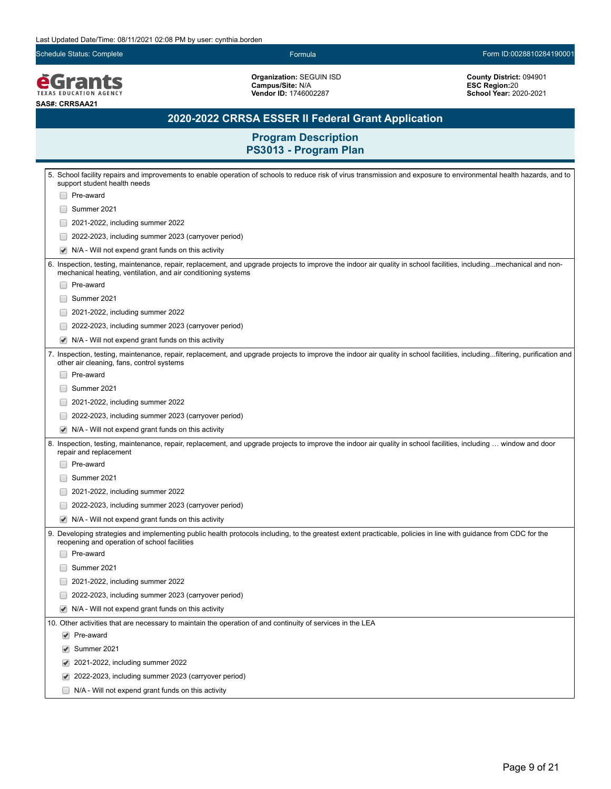Schedule Status: Complete Formula Form ID:0028810284190001

**EGrants SAS#: CRRSAA21**

**Organization:** SEGUIN ISD **Campus/Site:** N/A **Vendor ID:** 1746002287

**County District:** 094901 **ESC Region:**20 **School Year:** 2020-2021

## **2020-2022 CRRSA ESSER II Federal Grant Application**

| support student health needs<br>Pre-award<br>Summer 2021<br>2021-2022, including summer 2022<br>2022-2023, including summer 2023 (carryover period)<br>N/A - Will not expend grant funds on this activity<br>6. Inspection, testing, maintenance, repair, replacement, and upgrade projects to improve the indoor air quality in school facilities, includingmechanical and non- |  |
|----------------------------------------------------------------------------------------------------------------------------------------------------------------------------------------------------------------------------------------------------------------------------------------------------------------------------------------------------------------------------------|--|
|                                                                                                                                                                                                                                                                                                                                                                                  |  |
|                                                                                                                                                                                                                                                                                                                                                                                  |  |
|                                                                                                                                                                                                                                                                                                                                                                                  |  |
|                                                                                                                                                                                                                                                                                                                                                                                  |  |
|                                                                                                                                                                                                                                                                                                                                                                                  |  |
| mechanical heating, ventilation, and air conditioning systems                                                                                                                                                                                                                                                                                                                    |  |
| Pre-award                                                                                                                                                                                                                                                                                                                                                                        |  |
| Summer 2021                                                                                                                                                                                                                                                                                                                                                                      |  |
| 2021-2022, including summer 2022                                                                                                                                                                                                                                                                                                                                                 |  |
| 2022-2023, including summer 2023 (carryover period)                                                                                                                                                                                                                                                                                                                              |  |
| N/A - Will not expend grant funds on this activity                                                                                                                                                                                                                                                                                                                               |  |
| 7. Inspection, testing, maintenance, repair, replacement, and upgrade projects to improve the indoor air quality in school facilities, includingfiltering, purification and<br>other air cleaning, fans, control systems                                                                                                                                                         |  |
| Pre-award                                                                                                                                                                                                                                                                                                                                                                        |  |
| Summer 2021                                                                                                                                                                                                                                                                                                                                                                      |  |
| 2021-2022, including summer 2022                                                                                                                                                                                                                                                                                                                                                 |  |
| 2022-2023, including summer 2023 (carryover period)                                                                                                                                                                                                                                                                                                                              |  |
| N/A - Will not expend grant funds on this activity                                                                                                                                                                                                                                                                                                                               |  |
| 8. Inspection, testing, maintenance, repair, replacement, and upgrade projects to improve the indoor air quality in school facilities, including  window and door<br>repair and replacement                                                                                                                                                                                      |  |
| Pre-award                                                                                                                                                                                                                                                                                                                                                                        |  |
| Summer 2021                                                                                                                                                                                                                                                                                                                                                                      |  |
| 2021-2022, including summer 2022                                                                                                                                                                                                                                                                                                                                                 |  |
| 2022-2023, including summer 2023 (carryover period)                                                                                                                                                                                                                                                                                                                              |  |
| N/A - Will not expend grant funds on this activity                                                                                                                                                                                                                                                                                                                               |  |
| 9. Developing strategies and implementing public health protocols including, to the greatest extent practicable, policies in line with guidance from CDC for the<br>reopening and operation of school facilities                                                                                                                                                                 |  |
| Pre-award                                                                                                                                                                                                                                                                                                                                                                        |  |
| Summer 2021                                                                                                                                                                                                                                                                                                                                                                      |  |
| 2021-2022, including summer 2022                                                                                                                                                                                                                                                                                                                                                 |  |
| 2022-2023, including summer 2023 (carryover period)                                                                                                                                                                                                                                                                                                                              |  |
| N/A - Will not expend grant funds on this activity                                                                                                                                                                                                                                                                                                                               |  |
| 10. Other activities that are necessary to maintain the operation of and continuity of services in the LEA                                                                                                                                                                                                                                                                       |  |
| $\blacktriangleright$ Pre-award                                                                                                                                                                                                                                                                                                                                                  |  |
| Summer 2021<br>✔                                                                                                                                                                                                                                                                                                                                                                 |  |
| 2021-2022, including summer 2022                                                                                                                                                                                                                                                                                                                                                 |  |
| 2022-2023, including summer 2023 (carryover period)                                                                                                                                                                                                                                                                                                                              |  |
| N/A - Will not expend grant funds on this activity                                                                                                                                                                                                                                                                                                                               |  |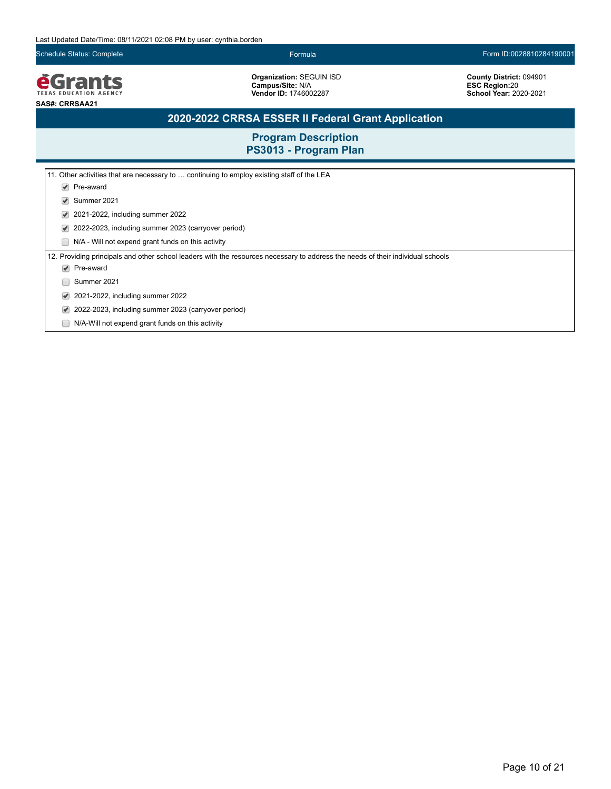Schedule Status: Complete Formula Form ID:0028810284190001

*<u>EGrants</u>* **SAS#: CRRSAA21**

**Organization:** SEGUIN ISD **Campus/Site:** N/A **Vendor ID:** 1746002287

**County District:** 094901 **ESC Region:**20 **School Year:** 2020-2021

# **2020-2022 CRRSA ESSER II Federal Grant Application**

| 11. Other activities that are necessary to  continuing to employ existing staff of the LEA                                      |
|---------------------------------------------------------------------------------------------------------------------------------|
| Pre-award<br>$\blacktriangledown$                                                                                               |
| Summer 2021<br>V                                                                                                                |
| 2021-2022, including summer 2022<br>V                                                                                           |
| 2022-2023, including summer 2023 (carryover period)<br>V                                                                        |
| N/A - Will not expend grant funds on this activity                                                                              |
| 12. Providing principals and other school leaders with the resources necessary to address the needs of their individual schools |
| Pre-award<br>$\blacktriangledown$                                                                                               |
| Summer 2021                                                                                                                     |
| 2021-2022, including summer 2022                                                                                                |
| 2022-2023, including summer 2023 (carryover period)                                                                             |
| N/A-Will not expend grant funds on this activity                                                                                |
|                                                                                                                                 |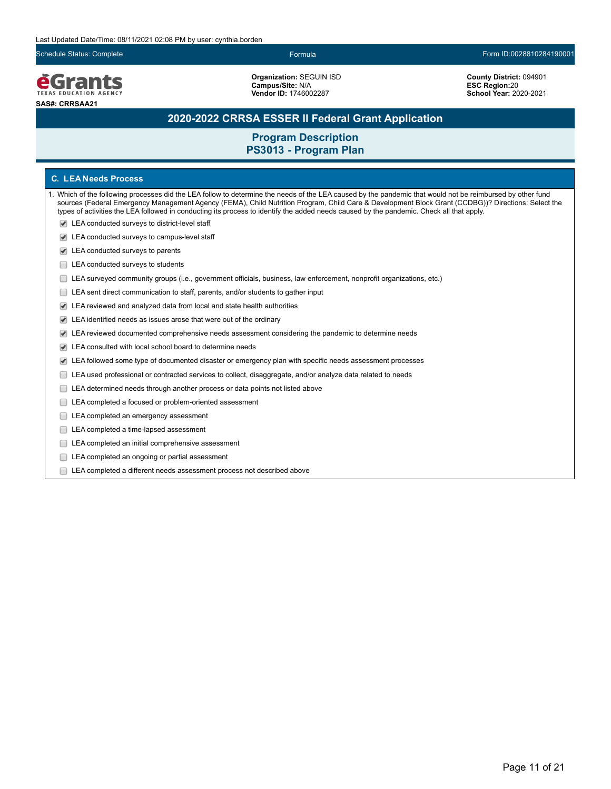Schedule Status: Complete Formula Form ID:0028810284190001

**e**Grants **TEXAS EDUCATION AGENCY SAS#: CRRSAA21**

**Organization:** SEGUIN ISD **Campus/Site:** N/A **Vendor ID:** 1746002287

**County District:** 094901 **ESC Region:**20 **School Year:** 2020-2021

## **2020-2022 CRRSA ESSER II Federal Grant Application**

**Program Description PS3013 - Program Plan**

### **C. LEA Needs Process**

1. Which of the following processes did the LEA follow to determine the needs of the LEA caused by the pandemic that would not be reimbursed by other fund sources (Federal Emergency Management Agency (FEMA), Child Nutrition Program, Child Care & Development Block Grant (CCDBG))? Directions: Select the types of activities the LEA followed in conducting its process to identify the added needs caused by the pandemic. Check all that apply.

- LEA conducted surveys to district-level staff
- LEA conducted surveys to campus-level staff
- LEA conducted surveys to parents
- E LEA conducted surveys to students
- LEA surveyed community groups (i.e., government officials, business, law enforcement, nonprofit organizations, etc.)
- LEA sent direct communication to staff, parents, and/or students to gather input
- LEA reviewed and analyzed data from local and state health authorities
- LEA identified needs as issues arose that were out of the ordinary
- LEA reviewed documented comprehensive needs assessment considering the pandemic to determine needs
- LEA consulted with local school board to determine needs
- LEA followed some type of documented disaster or emergency plan with specific needs assessment processes
- LEA used professional or contracted services to collect, disaggregate, and/or analyze data related to needs
- E LEA determined needs through another process or data points not listed above
- LEA completed a focused or problem-oriented assessment
- LEA completed an emergency assessment
- LEA completed a time-lapsed assessment
- LEA completed an initial comprehensive assessment
- E LEA completed an ongoing or partial assessment
- LEA completed a different needs assessment process not described above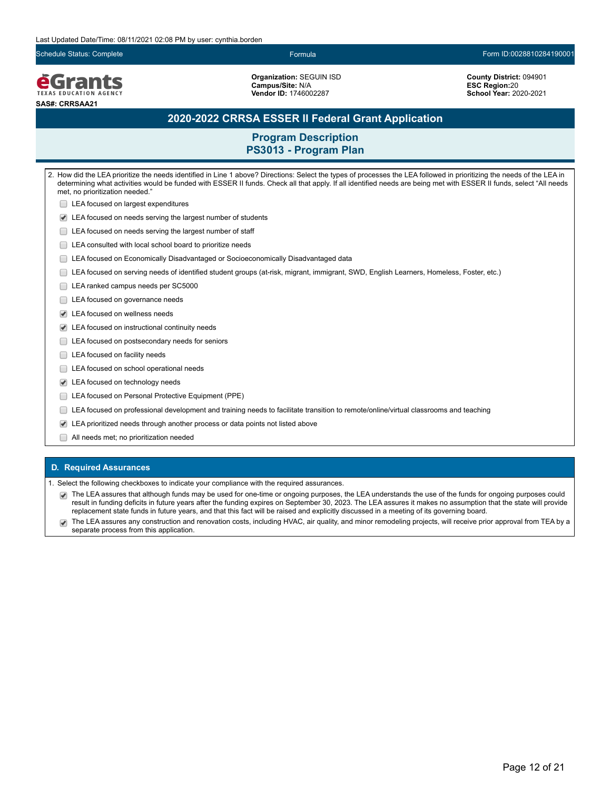Schedule Status: Complete Formula Form ID:0028810284190001

**e**Grants **TEXAS EDUCATION AGENCY SAS#: CRRSAA21**

**Organization:** SEGUIN ISD **Campus/Site:** N/A **Vendor ID:** 1746002287

**County District:** 094901 **ESC Region:**20 **School Year:** 2020-2021

## **2020-2022 CRRSA ESSER II Federal Grant Application**

**Program Description PS3013 - Program Plan**

2. How did the LEA prioritize the needs identified in Line 1 above? Directions: Select the types of processes the LEA followed in prioritizing the needs of the LEA in determining what activities would be funded with ESSER II funds. Check all that apply. If all identified needs are being met with ESSER II funds, select "All needs met, no prioritization needed." **□ LEA focused on largest expenditures** LEA focused on needs serving the largest number of students **LEA** focused on needs serving the largest number of staff LEA consulted with local school board to prioritize needs LEA focused on Economically Disadvantaged or Socioeconomically Disadvantaged data LEA focused on serving needs of identified student groups (at-risk, migrant, immigrant, SWD, English Learners, Homeless, Foster, etc.) LEA ranked campus needs per SC5000 LEA focused on governance needs LEA focused on wellness needs LEA focused on instructional continuity needs LEA focused on postsecondary needs for seniors **LEA** focused on facility needs LEA focused on school operational needs LEA focused on technology needs **LEA** focused on Personal Protective Equipment (PPE) LEA focused on professional development and training needs to facilitate transition to remote/online/virtual classrooms and teaching LEA prioritized needs through another process or data points not listed above

All needs met; no prioritization needed

#### **D. Required Assurances**

Select the following checkboxes to indicate your compliance with the required assurances.

- The LEA assures that although funds may be used for one-time or ongoing purposes, the LEA understands the use of the funds for ongoing purposes could result in funding deficits in future years after the funding expires on September 30, 2023. The LEA assures it makes no assumption that the state will provide replacement state funds in future years, and that this fact will be raised and explicitly discussed in a meeting of its governing board.
- The LEA assures any construction and renovation costs, including HVAC, air quality, and minor remodeling projects, will receive prior approval from TEA by a  $\blacktriangledown$ separate process from this application.